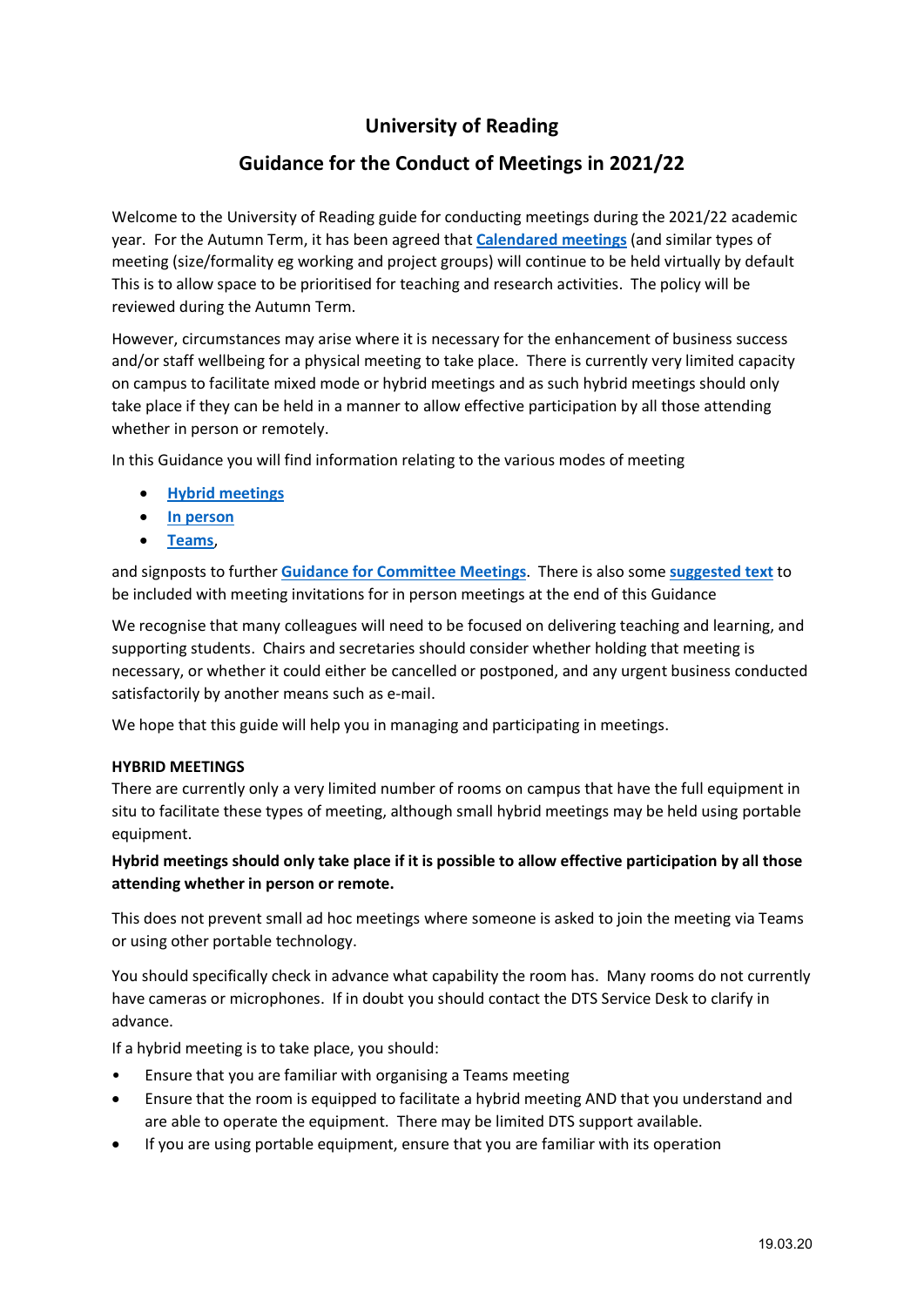## **University of Reading**

### **Guidance for the Conduct of Meetings in 2021/22**

Welcome to the University of Reading guide for conducting meetings during the 2021/22 academic year. For the Autumn Term, it has been agreed that **[Calendared meetings](http://www.reading.ac.uk/about/governance/governance-zone.aspx)** (and similar types of meeting (size/formality eg working and project groups) will continue to be held virtually by default This is to allow space to be prioritised for teaching and research activities. The policy will be reviewed during the Autumn Term.

However, circumstances may arise where it is necessary for the enhancement of business success and/or staff wellbeing for a physical meeting to take place. There is currently very limited capacity on campus to facilitate mixed mode or hybrid meetings and as such hybrid meetings should only take place if they can be held in a manner to allow effective participation by all those attending whether in person or remotely.

In this Guidance you will find information relating to the various modes of meeting

- **[Hybrid meetings](#page-0-0)**
- **[In person](#page-0-0)**
- **[Teams](#page-2-0)**,

and signposts to further **[Guidance for Committee Meetings](https://www.reading.ac.uk/about/governance/governance-zone)**. There is also some **[suggested text](#page-6-0)** to be included with meeting invitations for in person meetings at the end of this Guidance

We recognise that many colleagues will need to be focused on delivering teaching and learning, and supporting students. Chairs and secretaries should consider whether holding that meeting is necessary, or whether it could either be cancelled or postponed, and any urgent business conducted satisfactorily by another means such as e-mail.

We hope that this guide will help you in managing and participating in meetings.

#### <span id="page-0-0"></span>**HYBRID MEETINGS**

There are currently only a very limited number of rooms on campus that have the full equipment in situ to facilitate these types of meeting, although small hybrid meetings may be held using portable equipment.

#### **Hybrid meetings should only take place if it is possible to allow effective participation by all those attending whether in person or remote.**

This does not prevent small ad hoc meetings where someone is asked to join the meeting via Teams or using other portable technology.

You should specifically check in advance what capability the room has. Many rooms do not currently have cameras or microphones. If in doubt you should contact the DTS Service Desk to clarify in advance.

If a hybrid meeting is to take place, you should:

- Ensure that you are familiar with organising a Teams meeting
- Ensure that the room is equipped to facilitate a hybrid meeting AND that you understand and are able to operate the equipment. There may be limited DTS support available.
- If you are using portable equipment, ensure that you are familiar with its operation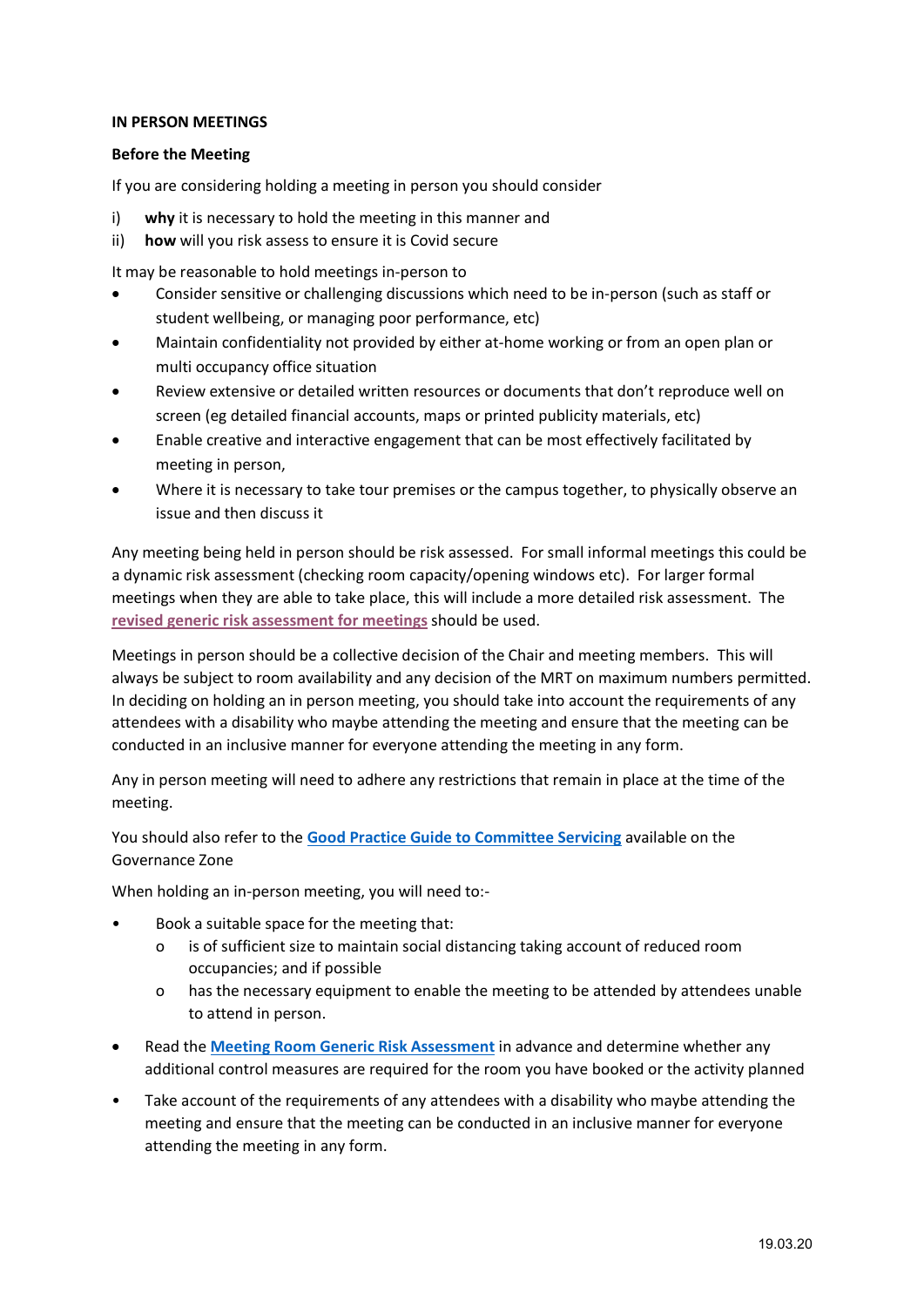#### **IN PERSON MEETINGS**

#### **Before the Meeting**

If you are considering holding a meeting in person you should consider

- i) **why** it is necessary to hold the meeting in this manner and
- ii) **how** will you risk assess to ensure it is Covid secure

It may be reasonable to hold meetings in-person to

- Consider sensitive or challenging discussions which need to be in-person (such as staff or student wellbeing, or managing poor performance, etc)
- Maintain confidentiality not provided by either at-home working or from an open plan or multi occupancy office situation
- Review extensive or detailed written resources or documents that don't reproduce well on screen (eg detailed financial accounts, maps or printed publicity materials, etc)
- Enable creative and interactive engagement that can be most effectively facilitated by meeting in person,
- Where it is necessary to take tour premises or the campus together, to physically observe an issue and then discuss it

Any meeting being held in person should be risk assessed. For small informal meetings this could be a dynamic risk assessment (checking room capacity/opening windows etc). For larger formal meetings when they are able to take place, this will include a more detailed risk assessment. The **[revised generic risk assessment for meetings](https://www.reading.ac.uk/health-safety-services/health-and-safety-resources/risk-assessments)** should be used.

Meetings in person should be a collective decision of the Chair and meeting members. This will always be subject to room availability and any decision of the MRT on maximum numbers permitted. In deciding on holding an in person meeting, you should take into account the requirements of any attendees with a disability who maybe attending the meeting and ensure that the meeting can be conducted in an inclusive manner for everyone attending the meeting in any form.

Any in person meeting will need to adhere any restrictions that remain in place at the time of the meeting.

You should also refer to the **[Good Practice Guide to Committee Servicing](https://www.reading.ac.uk/about/governance/governance-zone)** available on the Governance Zone

When holding an in-person meeting, you will need to:-

- Book a suitable space for the meeting that:
	- o is of sufficient size to maintain social distancing taking account of reduced room occupancies; and if possible
	- o has the necessary equipment to enable the meeting to be attended by attendees unable to attend in person.
- Read the **[Meeting Room Generic Risk Assessment](https://www.reading.ac.uk/health-safety-services/health-and-safety-resources/risk-assessments)** in advance and determine whether any additional control measures are required for the room you have booked or the activity planned
- Take account of the requirements of any attendees with a disability who maybe attending the meeting and ensure that the meeting can be conducted in an inclusive manner for everyone attending the meeting in any form.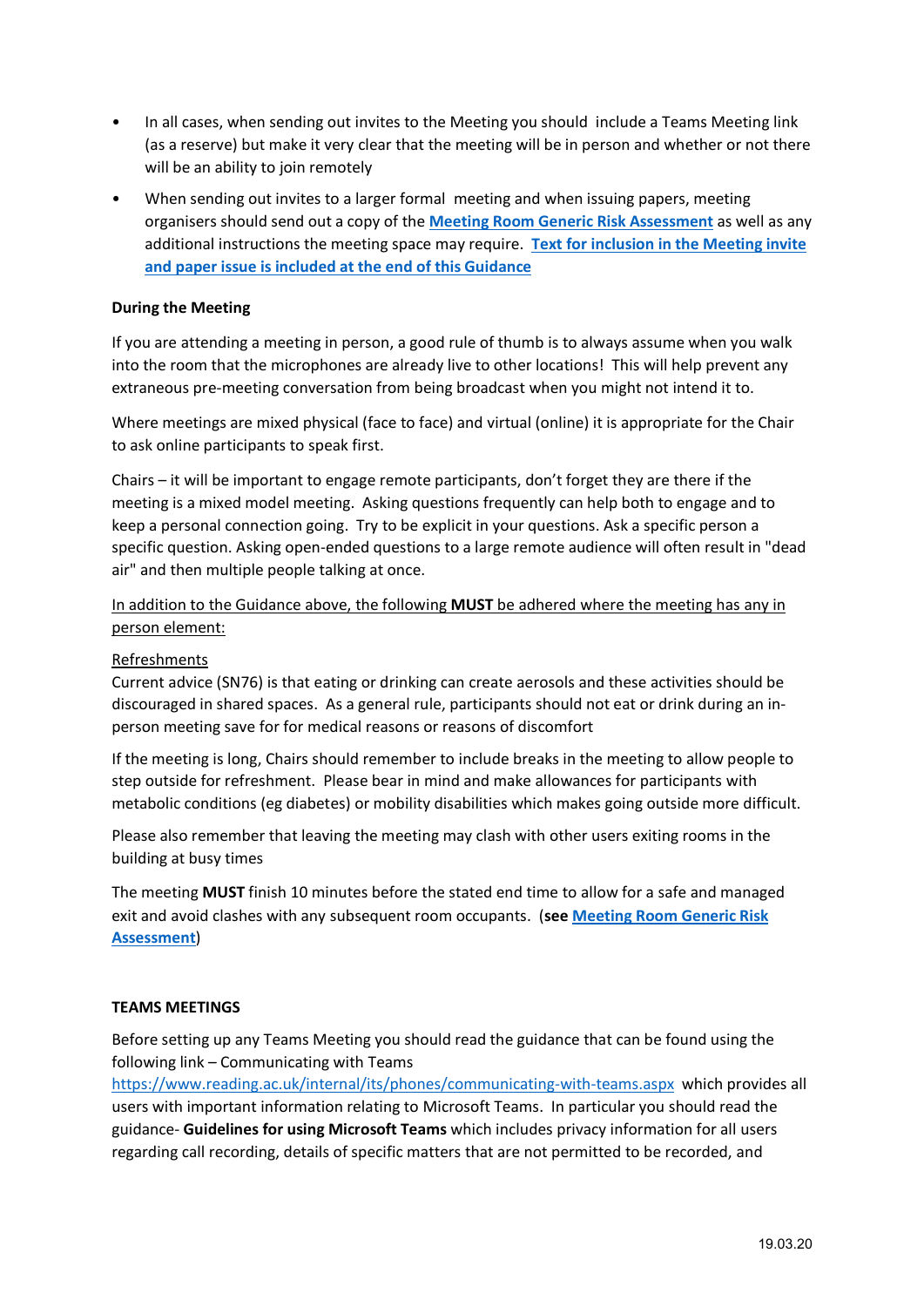- In all cases, when sending out invites to the Meeting you should include a Teams Meeting link (as a reserve) but make it very clear that the meeting will be in person and whether or not there will be an ability to join remotely
- When sending out invites to a larger formal meeting and when issuing papers, meeting organisers should send out a copy of the **[Meeting Room Generic Risk Assessment](https://www.reading.ac.uk/health-safety-services/health-and-safety-resources/risk-assessments)** as well as any additional instructions the meeting space may require. **[Text for inclusion in the Meeting invite](#page-6-0)  [and paper issue is included at the end of this Guidance](#page-6-0)**

#### **During the Meeting**

If you are attending a meeting in person, a good rule of thumb is to always assume when you walk into the room that the microphones are already live to other locations! This will help prevent any extraneous pre-meeting conversation from being broadcast when you might not intend it to.

Where meetings are mixed physical (face to face) and virtual (online) it is appropriate for the Chair to ask online participants to speak first.

Chairs – it will be important to engage remote participants, don't forget they are there if the meeting is a mixed model meeting. Asking questions frequently can help both to engage and to keep a personal connection going. Try to be explicit in your questions. Ask a specific person a specific question. Asking open-ended questions to a large remote audience will often result in "dead air" and then multiple people talking at once.

#### In addition to the Guidance above, the following **MUST** be adhered where the meeting has any in person element:

#### Refreshments

Current advice (SN76) is that eating or drinking can create aerosols and these activities should be discouraged in shared spaces. As a general rule, participants should not eat or drink during an inperson meeting save for for medical reasons or reasons of discomfort

If the meeting is long, Chairs should remember to include breaks in the meeting to allow people to step outside for refreshment. Please bear in mind and make allowances for participants with metabolic conditions (eg diabetes) or mobility disabilities which makes going outside more difficult.

Please also remember that leaving the meeting may clash with other users exiting rooms in the building at busy times

The meeting **MUST** finish 10 minutes before the stated end time to allow for a safe and managed exit and avoid clashes with any subsequent room occupants. (**see [Meeting Room Generic Risk](https://www.reading.ac.uk/health-safety-services/health-and-safety-resources/risk-assessments)  [Assessment](https://www.reading.ac.uk/health-safety-services/health-and-safety-resources/risk-assessments)**)

#### <span id="page-2-0"></span>**TEAMS MEETINGS**

Before setting up any Teams Meeting you should read the guidance that can be found using the following link – Communicating with Teams

<https://www.reading.ac.uk/internal/its/phones/communicating-with-teams.aspx> which provides all users with important information relating to Microsoft Teams. In particular you should read the guidance- **Guidelines for using Microsoft Teams** which includes privacy information for all users regarding call recording, details of specific matters that are not permitted to be recorded, and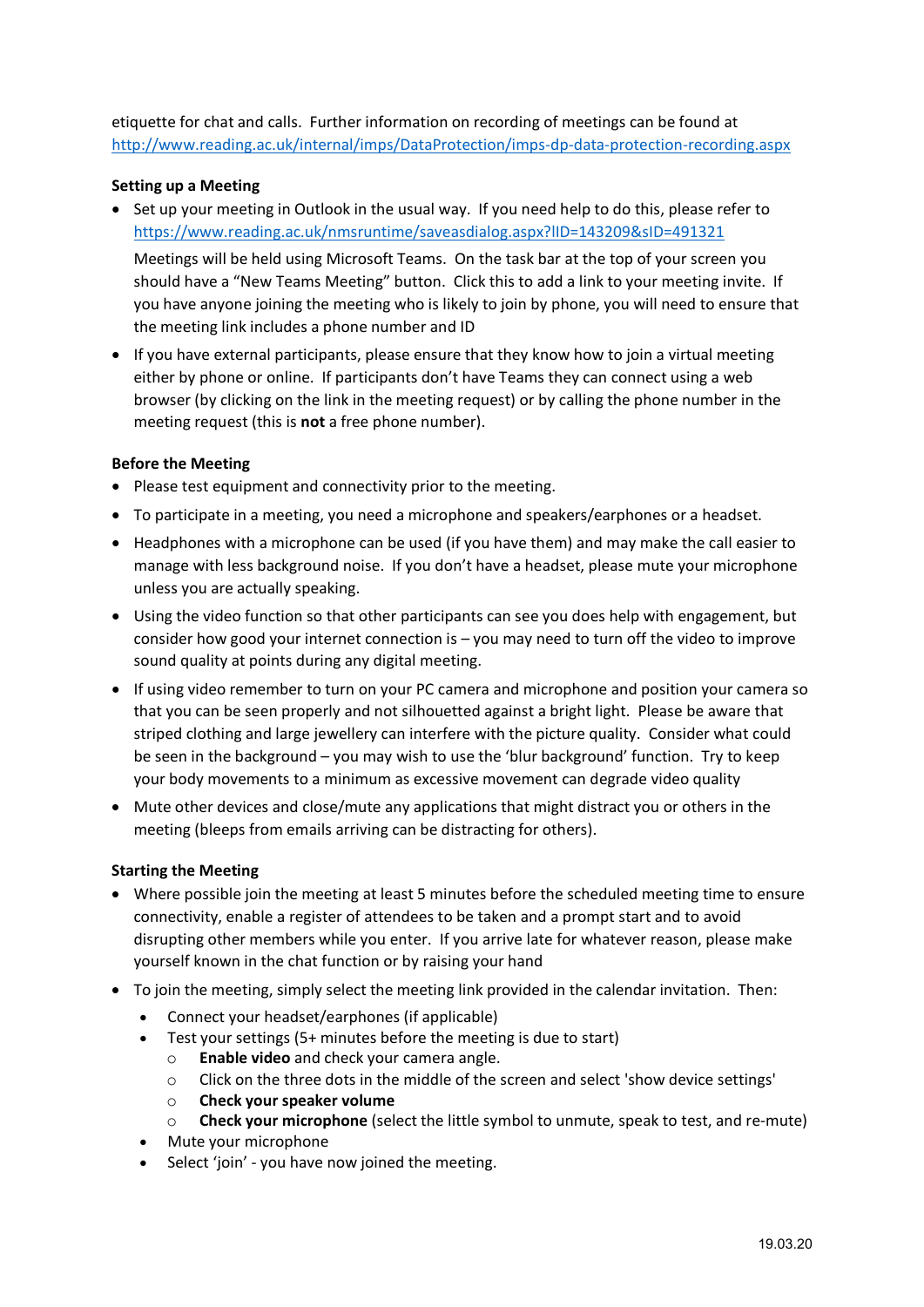etiquette for chat and calls. Further information on recording of meetings can be found at <http://www.reading.ac.uk/internal/imps/DataProtection/imps-dp-data-protection-recording.aspx>

#### **Setting up a Meeting**

• Set up your meeting in Outlook in the usual way. If you need help to do this, please refer to <https://www.reading.ac.uk/nmsruntime/saveasdialog.aspx?lID=143209&sID=491321>

Meetings will be held using Microsoft Teams. On the task bar at the top of your screen you should have a "New Teams Meeting" button. Click this to add a link to your meeting invite. If you have anyone joining the meeting who is likely to join by phone, you will need to ensure that the meeting link includes a phone number and ID

• If you have external participants, please ensure that they know how to join a virtual meeting either by phone or online. If participants don't have Teams they can connect using a web browser (by clicking on the link in the meeting request) or by calling the phone number in the meeting request (this is **not** a free phone number).

#### **Before the Meeting**

- Please test equipment and connectivity prior to the meeting.
- To participate in a meeting, you need a microphone and speakers/earphones or a headset.
- Headphones with a microphone can be used (if you have them) and may make the call easier to manage with less background noise. If you don't have a headset, please mute your microphone unless you are actually speaking.
- Using the video function so that other participants can see you does help with engagement, but consider how good your internet connection is – you may need to turn off the video to improve sound quality at points during any digital meeting.
- If using video remember to turn on your PC camera and microphone and position your camera so that you can be seen properly and not silhouetted against a bright light. Please be aware that striped clothing and large jewellery can interfere with the picture quality. Consider what could be seen in the background – you may wish to use the 'blur background' function. Try to keep your body movements to a minimum as excessive movement can degrade video quality
- Mute other devices and close/mute any applications that might distract you or others in the meeting (bleeps from emails arriving can be distracting for others).

#### **Starting the Meeting**

- Where possible join the meeting at least 5 minutes before the scheduled meeting time to ensure connectivity, enable a register of attendees to be taken and a prompt start and to avoid disrupting other members while you enter. If you arrive late for whatever reason, please make yourself known in the chat function or by raising your hand
- To join the meeting, simply select the meeting link provided in the calendar invitation. Then:
	- Connect your headset/earphones (if applicable)
	- Test your settings (5+ minutes before the meeting is due to start)
		- o **Enable video** and check your camera angle.
		- $\circ$  Click on the three dots in the middle of the screen and select 'show device settings'
		- o **Check your speaker volume**
		- o **Check your microphone** (select the little symbol to unmute, speak to test, and re-mute)
	- Mute your microphone
	- Select 'join' you have now joined the meeting.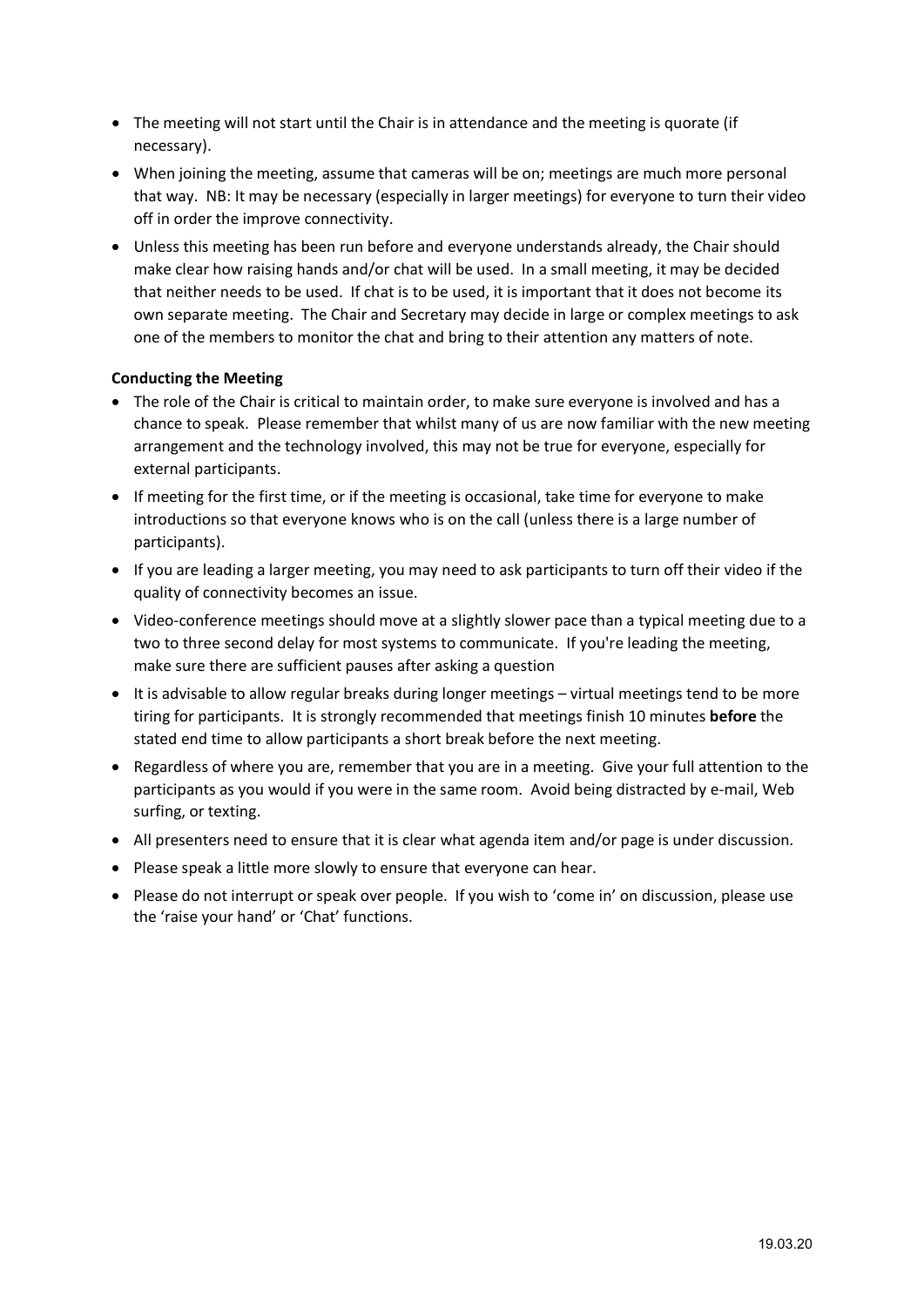- The meeting will not start until the Chair is in attendance and the meeting is quorate (if necessary).
- When joining the meeting, assume that cameras will be on; meetings are much more personal that way. NB: It may be necessary (especially in larger meetings) for everyone to turn their video off in order the improve connectivity.
- Unless this meeting has been run before and everyone understands already, the Chair should make clear how raising hands and/or chat will be used. In a small meeting, it may be decided that neither needs to be used. If chat is to be used, it is important that it does not become its own separate meeting. The Chair and Secretary may decide in large or complex meetings to ask one of the members to monitor the chat and bring to their attention any matters of note.

#### **Conducting the Meeting**

- The role of the Chair is critical to maintain order, to make sure everyone is involved and has a chance to speak. Please remember that whilst many of us are now familiar with the new meeting arrangement and the technology involved, this may not be true for everyone, especially for external participants.
- If meeting for the first time, or if the meeting is occasional, take time for everyone to make introductions so that everyone knows who is on the call (unless there is a large number of participants).
- If you are leading a larger meeting, you may need to ask participants to turn off their video if the quality of connectivity becomes an issue.
- Video-conference meetings should move at a slightly slower pace than a typical meeting due to a two to three second delay for most systems to communicate. If you're leading the meeting, make sure there are sufficient pauses after asking a question
- It is advisable to allow regular breaks during longer meetings virtual meetings tend to be more tiring for participants. It is strongly recommended that meetings finish 10 minutes **before** the stated end time to allow participants a short break before the next meeting.
- Regardless of where you are, remember that you are in a meeting. Give your full attention to the participants as you would if you were in the same room. Avoid being distracted by e-mail, Web surfing, or texting.
- All presenters need to ensure that it is clear what agenda item and/or page is under discussion.
- Please speak a little more slowly to ensure that everyone can hear.
- Please do not interrupt or speak over people. If you wish to 'come in' on discussion, please use the 'raise your hand' or 'Chat' functions.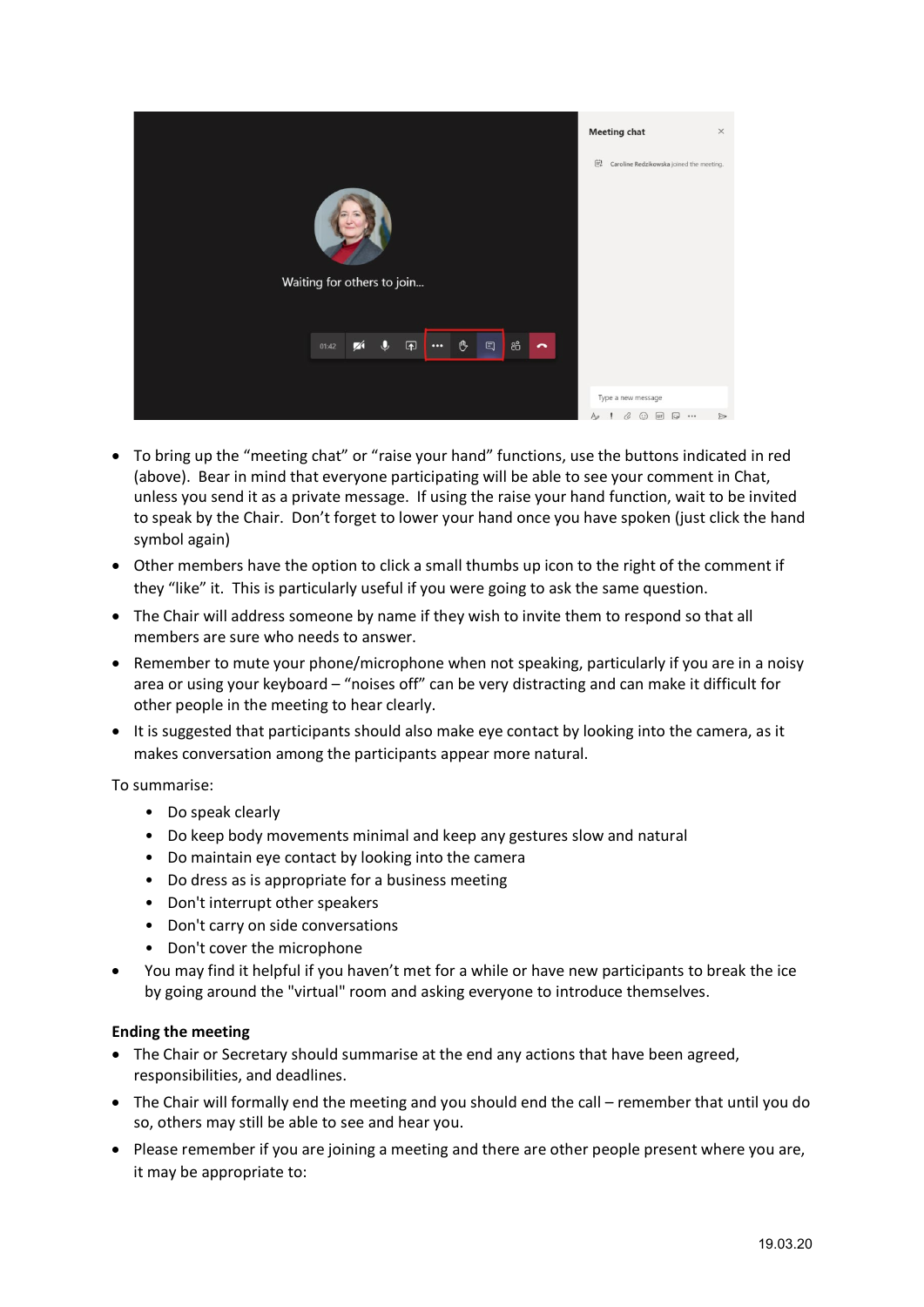

- To bring up the "meeting chat" or "raise your hand" functions, use the buttons indicated in red (above). Bear in mind that everyone participating will be able to see your comment in Chat, unless you send it as a private message. If using the raise your hand function, wait to be invited to speak by the Chair. Don't forget to lower your hand once you have spoken (just click the hand symbol again)
- Other members have the option to click a small thumbs up icon to the right of the comment if they "like" it. This is particularly useful if you were going to ask the same question.
- The Chair will address someone by name if they wish to invite them to respond so that all members are sure who needs to answer.
- Remember to mute your phone/microphone when not speaking, particularly if you are in a noisy area or using your keyboard – "noises off" can be very distracting and can make it difficult for other people in the meeting to hear clearly.
- It is suggested that participants should also make eye contact by looking into the camera, as it makes conversation among the participants appear more natural.

#### To summarise:

- Do speak clearly
- Do keep body movements minimal and keep any gestures slow and natural
- Do maintain eye contact by looking into the camera
- Do dress as is appropriate for a business meeting
- Don't interrupt other speakers
- Don't carry on side conversations
- Don't cover the microphone
- You may find it helpful if you haven't met for a while or have new participants to break the ice by going around the "virtual" room and asking everyone to introduce themselves.

#### **Ending the meeting**

- The Chair or Secretary should summarise at the end any actions that have been agreed, responsibilities, and deadlines.
- The Chair will formally end the meeting and you should end the call remember that until you do so, others may still be able to see and hear you.
- Please remember if you are joining a meeting and there are other people present where you are, it may be appropriate to: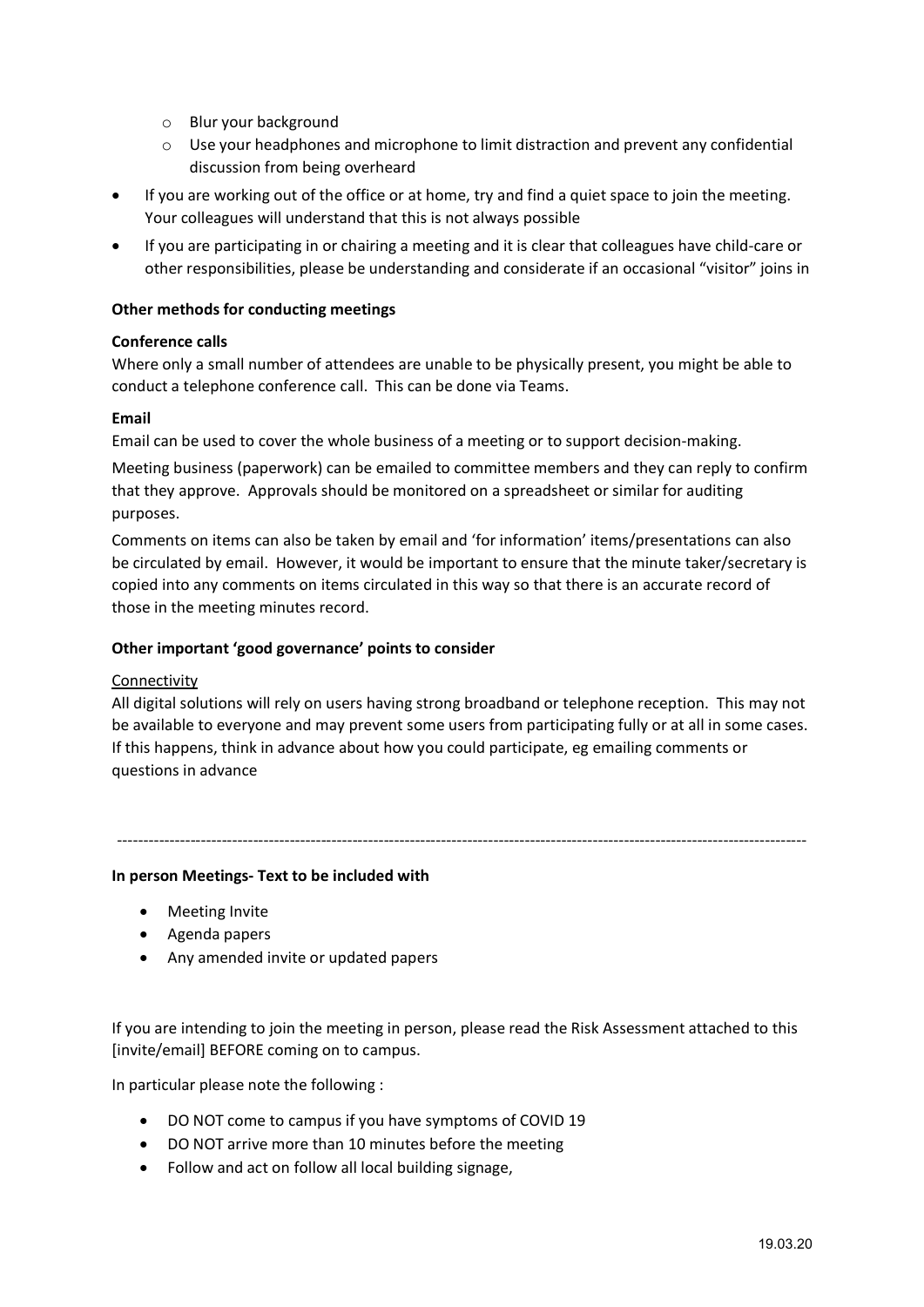- o Blur your background
- o Use your headphones and microphone to limit distraction and prevent any confidential discussion from being overheard
- If you are working out of the office or at home, try and find a quiet space to join the meeting. Your colleagues will understand that this is not always possible
- If you are participating in or chairing a meeting and it is clear that colleagues have child-care or other responsibilities, please be understanding and considerate if an occasional "visitor" joins in

#### **Other methods for conducting meetings**

#### **Conference calls**

Where only a small number of attendees are unable to be physically present, you might be able to conduct a telephone conference call. This can be done via Teams.

#### **Email**

Email can be used to cover the whole business of a meeting or to support decision-making.

Meeting business (paperwork) can be emailed to committee members and they can reply to confirm that they approve. Approvals should be monitored on a spreadsheet or similar for auditing purposes.

Comments on items can also be taken by email and 'for information' items/presentations can also be circulated by email. However, it would be important to ensure that the minute taker/secretary is copied into any comments on items circulated in this way so that there is an accurate record of those in the meeting minutes record.

#### **Other important 'good governance' points to consider**

#### Connectivity

All digital solutions will rely on users having strong broadband or telephone reception. This may not be available to everyone and may prevent some users from participating fully or at all in some cases. If this happens, think in advance about how you could participate, eg emailing comments or questions in advance

# ------------------------------------------------------------------------------------------------------------------------------------

# <span id="page-6-0"></span>**In person Meetings- Text to be included with**

- Meeting Invite
- Agenda papers
- Any amended invite or updated papers

If you are intending to join the meeting in person, please read the Risk Assessment attached to this [invite/email] BEFORE coming on to campus.

In particular please note the following :

- DO NOT come to campus if you have symptoms of COVID 19
- DO NOT arrive more than 10 minutes before the meeting
- Follow and act on follow all local building signage,